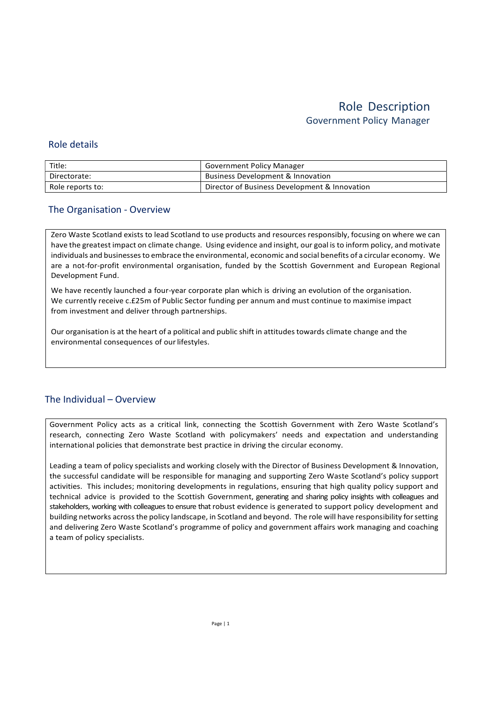### Role details

| Title:           | <b>Government Policy Manager</b>              |
|------------------|-----------------------------------------------|
| Directorate:     | Business Development & Innovation             |
| Role reports to: | Director of Business Development & Innovation |

### The Organisation - Overview

Zero Waste Scotland exists to lead Scotland to use products and resources responsibly, focusing on where we can have the greatest impact on climate change. Using evidence and insight, our goal is to inform policy, and motivate individuals and businesses to embrace the environmental, economic and social benefits of a circular economy. We are a not-for-profit environmental organisation, funded by the Scottish Government and European Regional Development Fund.

We have recently launched a four-year corporate plan which is driving an evolution of the organisation. We currently receive c.£25m of Public Sector funding per annum and must continue to maximise impact from investment and deliver through partnerships.

Our organisation is at the heart of a political and public shift in attitudes towards climate change and the environmental consequences of our lifestyles.

## The Individual – Overview

Government Policy acts as a critical link, connecting the Scottish Government with Zero Waste Scotland's research, connecting Zero Waste Scotland with policymakers' needs and expectation and understanding international policies that demonstrate best practice in driving the circular economy.

Leading a team of policy specialists and working closely with the Director of Business Development & Innovation, the successful candidate will be responsible for managing and supporting Zero Waste Scotland's policy support activities. This includes; monitoring developments in regulations, ensuring that high quality policy support and technical advice is provided to the Scottish Government, generating and sharing policy insights with colleagues and stakeholders, working with colleagues to ensure that robust evidence is generated to support policy development and building networks across the policy landscape, in Scotland and beyond. The role will have responsibility for setting and delivering Zero Waste Scotland's programme of policy and government affairs work managing and coaching a team of policy specialists.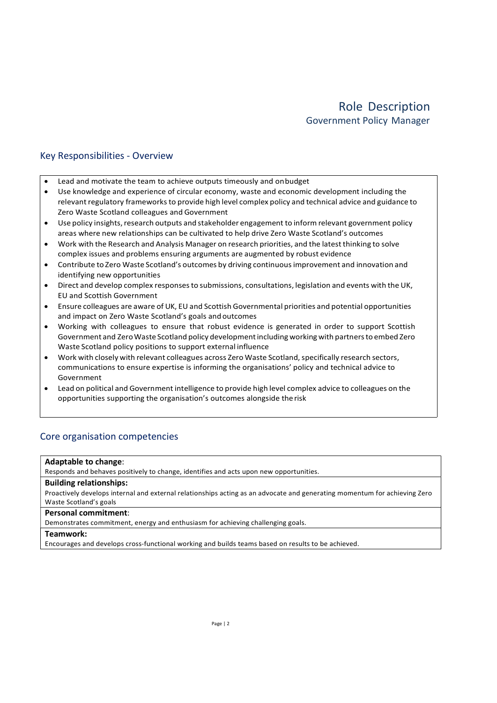## Key Responsibilities - Overview

- Lead and motivate the team to achieve outputs timeously and on budget
- Use knowledge and experience of circular economy, waste and economic development including the relevant regulatory frameworks to provide high level complex policy and technical advice and guidance to Zero Waste Scotland colleagues and Government
- Use policy insights, research outputs and stakeholder engagement to inform relevant government policy areas where new relationships can be cultivated to help drive Zero Waste Scotland's outcomes
- Work with the Research and Analysis Manager on research priorities, and the latest thinking to solve complex issues and problems ensuring arguments are augmented by robust evidence
- Contribute to Zero Waste Scotland's outcomes by driving continuous improvement and innovation and identifying new opportunities
- Direct and develop complex responses to submissions, consultations, legislation and events with the UK, EU and Scottish Government
- Ensure colleagues are aware of UK, EU and Scottish Governmental priorities and potential opportunities and impact on Zero Waste Scotland's goals and outcomes
- Working with colleagues to ensure that robust evidence is generated in order to support Scottish Government and Zero Waste Scotland policy development including working with partners to embed Zero Waste Scotland policy positions to support external influence
- Work with closely with relevant colleagues across Zero Waste Scotland, specifically research sectors, communications to ensure expertise is informing the organisations' policy and technical advice to Government
- Lead on political and Government intelligence to provide high level complex advice to colleagues on the opportunities supporting the organisation's outcomes alongside the risk

### Core organisation competencies

### Adaptable to change:

Responds and behaves positively to change, identifies and acts upon new opportunities.

#### Building relationships:

Proactively develops internal and external relationships acting as an advocate and generating momentum for achieving Zero Waste Scotland's goals

#### Personal commitment:

Demonstrates commitment, energy and enthusiasm for achieving challenging goals.

#### Teamwork:

Encourages and develops cross-functional working and builds teams based on results to be achieved.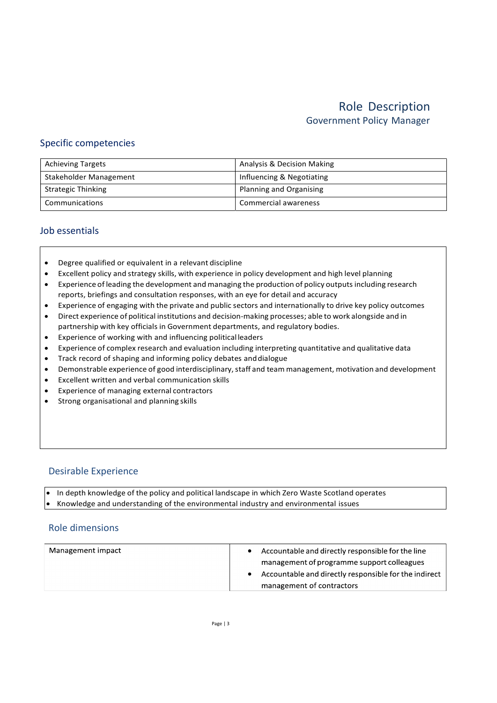### Specific competencies

| <b>Achieving Targets</b>  | Analysis & Decision Making |
|---------------------------|----------------------------|
| Stakeholder Management    | Influencing & Negotiating  |
| <b>Strategic Thinking</b> | Planning and Organising    |
| Communications            | Commercial awareness       |

### Job essentials

- Degree qualified or equivalent in a relevant discipline
- Excellent policy and strategy skills, with experience in policy development and high level planning
- Experience of leading the development and managing the production of policy outputs including research reports, briefings and consultation responses, with an eye for detail and accuracy
- Experience of engaging with the private and public sectors and internationally to drive key policy outcomes
- Direct experience of political institutions and decision-making processes; able to work alongside and in partnership with key officials in Government departments, and regulatory bodies.
- Experience of working with and influencing political leaders
- Experience of complex research and evaluation including interpreting quantitative and qualitative data
- Track record of shaping and informing policy debates and dialogue
- Demonstrable experience of good interdisciplinary, staff and team management, motivation and development
- Excellent written and verbal communication skills
- Experience of managing external contractors
- **•** Strong organisational and planning skills

### Desirable Experience

 In depth knowledge of the policy and political landscape in which Zero Waste Scotland operates Knowledge and understanding of the environmental industry and environmental issues

### Role dimensions

| Management impact | Accountable and directly responsible for the line     |
|-------------------|-------------------------------------------------------|
|                   | management of programme support colleagues            |
|                   | Accountable and directly responsible for the indirect |
|                   | management of contractors                             |